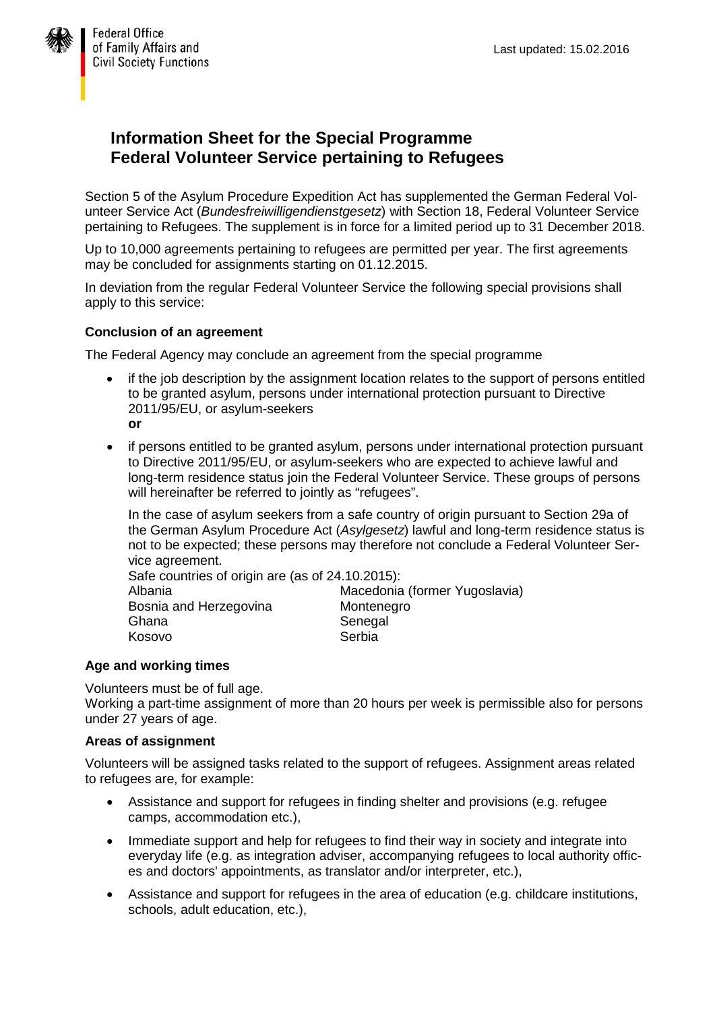

# **Information Sheet for the Special Programme Federal Volunteer Service pertaining to Refugees**

Section 5 of the Asylum Procedure Expedition Act has supplemented the German Federal Volunteer Service Act (*Bundesfreiwilligendienstgesetz*) with Section 18, Federal Volunteer Service pertaining to Refugees. The supplement is in force for a limited period up to 31 December 2018.

Up to 10,000 agreements pertaining to refugees are permitted per year. The first agreements may be concluded for assignments starting on 01.12.2015.

In deviation from the regular Federal Volunteer Service the following special provisions shall apply to this service:

# **Conclusion of an agreement**

The Federal Agency may conclude an agreement from the special programme

- if the job description by the assignment location relates to the support of persons entitled to be granted asylum, persons under international protection pursuant to Directive 2011/95/EU, or asylum-seekers **or**
- if persons entitled to be granted asylum, persons under international protection pursuant to Directive 2011/95/EU, or asylum-seekers who are expected to achieve lawful and long-term residence status join the Federal Volunteer Service. These groups of persons will hereinafter be referred to jointly as "refugees".

In the case of asylum seekers from a safe country of origin pursuant to Section 29a of the German Asylum Procedure Act (*Asylgesetz*) lawful and long-term residence status is not to be expected; these persons may therefore not conclude a Federal Volunteer Service agreement.

Safe countries of origin are (as of 24.10.2015):

| Albania                | Macedonia (former Yugoslavia) |
|------------------------|-------------------------------|
| Bosnia and Herzegovina | Montenegro                    |
| Ghana                  | Senegal                       |
| Kosovo                 | Serbia                        |
|                        |                               |

# **Age and working times**

Volunteers must be of full age.

Working a part-time assignment of more than 20 hours per week is permissible also for persons under 27 years of age.

# **Areas of assignment**

Volunteers will be assigned tasks related to the support of refugees. Assignment areas related to refugees are, for example:

- Assistance and support for refugees in finding shelter and provisions (e.g. refugee camps, accommodation etc.),
- Immediate support and help for refugees to find their way in society and integrate into everyday life (e.g. as integration adviser, accompanying refugees to local authority offices and doctors' appointments, as translator and/or interpreter, etc.),
- Assistance and support for refugees in the area of education (e.g. childcare institutions, schools, adult education, etc.),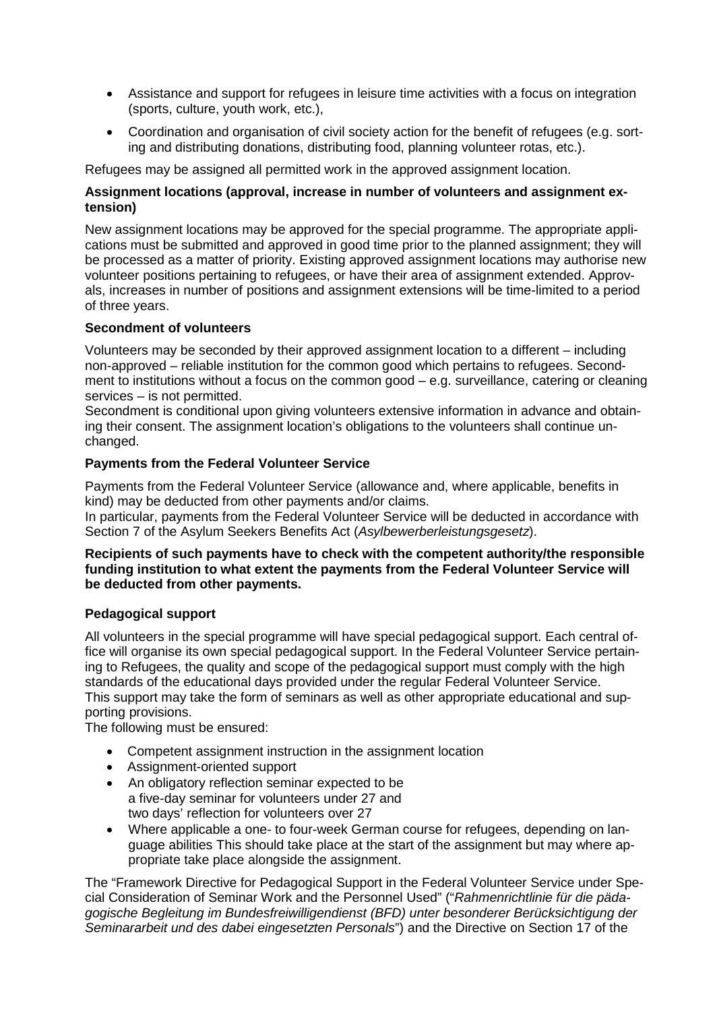- Assistance and support for refugees in leisure time activities with a focus on integration (sports, culture, youth work, etc.),
- Coordination and organisation of civil society action for the benefit of refugees (e.g. sorting and distributing donations, distributing food, planning volunteer rotas, etc.).

Refugees may be assigned all permitted work in the approved assignment location.

# **Assignment locations (approval, increase in number of volunteers and assignment extension)**

New assignment locations may be approved for the special programme. The appropriate applications must be submitted and approved in good time prior to the planned assignment; they will be processed as a matter of priority. Existing approved assignment locations may authorise new volunteer positions pertaining to refugees, or have their area of assignment extended. Approvals, increases in number of positions and assignment extensions will be time-limited to a period of three years.

#### **Secondment of volunteers**

Volunteers may be seconded by their approved assignment location to a different – including non-approved – reliable institution for the common good which pertains to refugees. Secondment to institutions without a focus on the common good – e.g. surveillance, catering or cleaning services – is not permitted.

Secondment is conditional upon giving volunteers extensive information in advance and obtaining their consent. The assignment location's obligations to the volunteers shall continue unchanged.

#### **Payments from the Federal Volunteer Service**

Payments from the Federal Volunteer Service (allowance and, where applicable, benefits in kind) may be deducted from other payments and/or claims.

In particular, payments from the Federal Volunteer Service will be deducted in accordance with Section 7 of the Asylum Seekers Benefits Act (*Asylbewerberleistungsgesetz*).

#### **Recipients of such payments have to check with the competent authority/the responsible funding institution to what extent the payments from the Federal Volunteer Service will be deducted from other payments.**

# **Pedagogical support**

All volunteers in the special programme will have special pedagogical support. Each central office will organise its own special pedagogical support. In the Federal Volunteer Service pertaining to Refugees, the quality and scope of the pedagogical support must comply with the high standards of the educational days provided under the regular Federal Volunteer Service. This support may take the form of seminars as well as other appropriate educational and supporting provisions.

The following must be ensured:

- Competent assignment instruction in the assignment location
- Assignment-oriented support
- An obligatory reflection seminar expected to be a five-day seminar for volunteers under 27 and two days' reflection for volunteers over 27
- Where applicable a one- to four-week German course for refugees, depending on language abilities This should take place at the start of the assignment but may where appropriate take place alongside the assignment.

The "Framework Directive for Pedagogical Support in the Federal Volunteer Service under Special Consideration of Seminar Work and the Personnel Used" ("*Rahmenrichtlinie für die pädagogische Begleitung im Bundesfreiwilligendienst (BFD) unter besonderer Berücksichtigung der Seminararbeit und des dabei eingesetzten Personals*") and the Directive on Section 17 of the